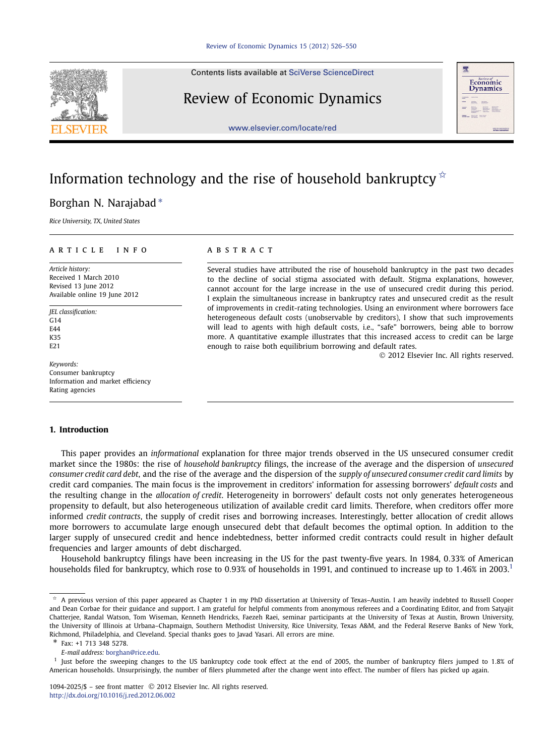Contents lists available at [SciVerse ScienceDirect](http://www.ScienceDirect.com/)

## Review of Economic Dynamics



[www.elsevier.com/locate/red](http://www.elsevier.com/locate/red)

# Information technology and the rise of household bankruptcy  $\dot{x}$

### Borghan N. Narajabad <sup>∗</sup>

*Rice University, TX, United States*

#### article info abstract

*Article history:* Received 1 March 2010 Revised 13 June 2012 Available online 19 June 2012

*JEL classification:*  $C<sub>14</sub>$ E44 K35 E21

*Keywords:* Consumer bankruptcy Information and market efficiency Rating agencies

#### **1. Introduction**

#### This paper provides an *informational* explanation for three major trends observed in the US unsecured consumer credit market since the 1980s: the rise of *household bankruptcy* filings, the increase of the average and the dispersion of *unsecured consumer credit card debt*, and the rise of the average and the dispersion of the *supply of unsecured consumer credit card limits* by credit card companies. The main focus is the improvement in creditors' information for assessing borrowers' *default costs* and the resulting change in the *allocation of credit*. Heterogeneity in borrowers' default costs not only generates heterogeneous propensity to default, but also heterogeneous utilization of available credit card limits. Therefore, when creditors offer more informed *credit contracts*, the supply of credit rises and borrowing increases. Interestingly, better allocation of credit allows more borrowers to accumulate large enough unsecured debt that default becomes the optimal option. In addition to the larger supply of unsecured credit and hence indebtedness, better informed credit contracts could result in higher default frequencies and larger amounts of debt discharged.

Household bankruptcy filings have been increasing in the US for the past twenty-five years. In 1984, 0*.*33% of American households filed for bankruptcy, which rose to 0.93% of households in 1991, and continued to increase up to 1.46% in 2003.<sup>1</sup>

Several studies have attributed the rise of household bankruptcy in the past two decades to the decline of social stigma associated with default. Stigma explanations, however, cannot account for the large increase in the use of unsecured credit during this period. I explain the simultaneous increase in bankruptcy rates and unsecured credit as the result of improvements in credit-rating technologies. Using an environment where borrowers face heterogeneous default costs (unobservable by creditors), I show that such improvements will lead to agents with high default costs, i.e., "safe" borrowers, being able to borrow more. A quantitative example illustrates that this increased access to credit can be large enough to raise both equilibrium borrowing and default rates.

© 2012 Elsevier Inc. All rights reserved.

 $*$  A previous version of this paper appeared as Chapter 1 in my PhD dissertation at University of Texas–Austin. I am heavily indebted to Russell Cooper and Dean Corbae for their guidance and support. I am grateful for helpful comments from anonymous referees and a Coordinating Editor, and from Satyajit Chatterjee, Randal Watson, Tom Wiseman, Kenneth Hendricks, Faezeh Raei, seminar participants at the University of Texas at Austin, Brown University, the University of Illinois at Urbana–Chapmaign, Southern Methodist University, Rice University, Texas A&M, and the Federal Reserve Banks of New York, Richmond, Philadelphia, and Cleveland. Special thanks goes to Javad Yasari. All errors are mine.

Fax: +1 713 348 5278. *E-mail address:* [borghan@rice.edu.](mailto:borghan@rice.edu)

<sup>&</sup>lt;sup>1</sup> Just before the sweeping changes to the US bankruptcy code took effect at the end of 2005, the number of bankruptcy filers jumped to 1.8% of American households. Unsurprisingly, the number of filers plummeted after the change went into effect. The number of filers has picked up again.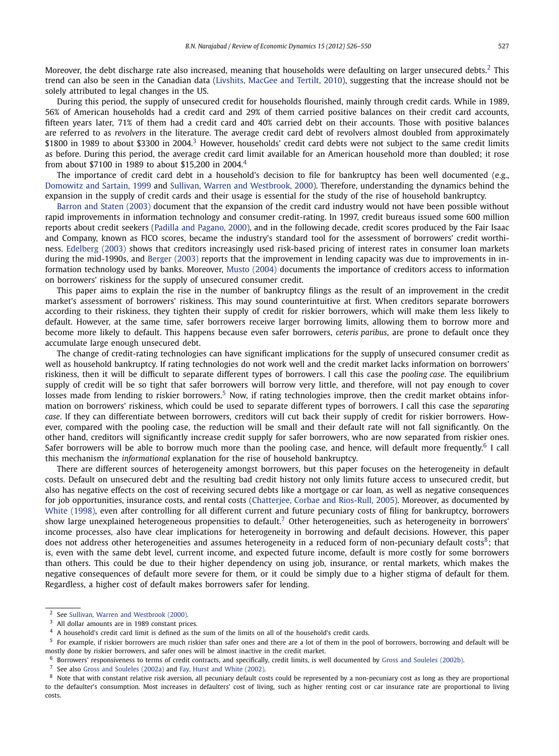Moreover, the debt discharge rate also increased, meaning that households were defaulting on larger unsecured debts.<sup>2</sup> This trend can also be seen in the Canadian data [\(Livshits, MacGee and Tertilt, 2010\)](#page--1-0), suggesting that the increase should not be solely attributed to legal changes in the US.

During this period, the supply of unsecured credit for households flourished, mainly through credit cards. While in 1989, 56% of American households had a credit card and 29% of them carried positive balances on their credit card accounts, fifteen years later, 71% of them had a credit card and 40% carried debt on their accounts. Those with positive balances are referred to as *revolvers* in the literature. The average credit card debt of revolvers almost doubled from approximately \$1800 in 1989 to about \$3300 in 2004.<sup>3</sup> However, households' credit card debts were not subject to the same credit limits as before. During this period, the average credit card limit available for an American household more than doubled; it rose from about \$7100 in 1989 to about \$15,200 in 2004.4

The importance of credit card debt in a household's decision to file for bankruptcy has been well documented (e.g., [Domowitz and Sartain, 1999](#page--1-0) and [Sullivan, Warren and Westbrook, 2000\)](#page--1-0). Therefore, understanding the dynamics behind the expansion in the supply of credit cards and their usage is essential for the study of the rise of household bankruptcy.

[Barron and Staten \(2003\)](#page--1-0) document that the expansion of the credit card industry would not have been possible without rapid improvements in information technology and consumer credit-rating. In 1997, credit bureaus issued some 600 million reports about credit seekers [\(Padilla and Pagano, 2000\)](#page--1-0), and in the following decade, credit scores produced by the Fair Isaac and Company, known as FICO scores, became the industry's standard tool for the assessment of borrowers' credit worthiness. [Edelberg \(2003\)](#page--1-0) shows that creditors increasingly used risk-based pricing of interest rates in consumer loan markets during the mid-1990s, and [Berger \(2003\)](#page--1-0) reports that the improvement in lending capacity was due to improvements in information technology used by banks. Moreover, [Musto \(2004\)](#page--1-0) documents the importance of creditors access to information on borrowers' riskiness for the supply of unsecured consumer credit.

This paper aims to explain the rise in the number of bankruptcy filings as the result of an improvement in the credit market's assessment of borrowers' riskiness. This may sound counterintuitive at first. When creditors separate borrowers according to their riskiness, they tighten their supply of credit for riskier borrowers, which will make them less likely to default. However, at the same time, safer borrowers receive larger borrowing limits, allowing them to borrow more and become more likely to default. This happens because even safer borrowers, *ceteris paribus*, are prone to default once they accumulate large enough unsecured debt.

The change of credit-rating technologies can have significant implications for the supply of unsecured consumer credit as well as household bankruptcy. If rating technologies do not work well and the credit market lacks information on borrowers' riskiness, then it will be difficult to separate different types of borrowers. I call this case the *pooling case*. The equilibrium supply of credit will be so tight that safer borrowers will borrow very little, and therefore, will not pay enough to cover losses made from lending to riskier borrowers.<sup>5</sup> Now, if rating technologies improve, then the credit market obtains information on borrowers' riskiness, which could be used to separate different types of borrowers. I call this case the *separating case*. If they can differentiate between borrowers, creditors will cut back their supply of credit for riskier borrowers. However, compared with the pooling case, the reduction will be small and their default rate will not fall significantly. On the other hand, creditors will significantly increase credit supply for safer borrowers, who are now separated from riskier ones. Safer borrowers will be able to borrow much more than the pooling case, and hence, will default more frequently.<sup>6</sup> I call this mechanism the *informational* explanation for the rise of household bankruptcy.

There are different sources of heterogeneity amongst borrowers, but this paper focuses on the heterogeneity in default costs. Default on unsecured debt and the resulting bad credit history not only limits future access to unsecured credit, but also has negative effects on the cost of receiving secured debts like a mortgage or car loan, as well as negative consequences for job opportunities, insurance costs, and rental costs [\(Chatterjee, Corbae and Rios-Rull, 2005\)](#page--1-0). Moreover, as documented by [White \(1998\),](#page--1-0) even after controlling for all different current and future pecuniary costs of filing for bankruptcy, borrowers show large unexplained heterogeneous propensities to default.<sup>7</sup> Other heterogeneities, such as heterogeneity in borrowers' income processes, also have clear implications for heterogeneity in borrowing and default decisions. However, this paper does not address other heterogeneities and assumes heterogeneity in a reduced form of non-pecuniary default costs<sup>8</sup>; that is, even with the same debt level, current income, and expected future income, default is more costly for some borrowers than others. This could be due to their higher dependency on using job, insurance, or rental markets, which makes the negative consequences of default more severe for them, or it could be simply due to a higher stigma of default for them. Regardless, a higher cost of default makes borrowers safer for lending.

<sup>7</sup> See also [Gross and Souleles \(2002a\)](#page--1-0) and [Fay, Hurst and White \(2002\).](#page--1-0)

<sup>2</sup> See [Sullivan, Warren and Westbrook \(2000\).](#page--1-0)

 $3$  All dollar amounts are in 1989 constant prices.

<sup>4</sup> A household's credit card limit is defined as the sum of the limits on all of the household's credit cards.

<sup>&</sup>lt;sup>5</sup> For example, if riskier borrowers are much riskier than safer ones and there are a lot of them in the pool of borrowers, borrowing and default will be mostly done by riskier borrowers, and safer ones will be almost inactive in the credit market.

 $^6$  Borrowers' responsiveness to terms of credit contracts, and specifically, credit limits, is well documented by [Gross and Souleles \(2002b\).](#page--1-0)

<sup>&</sup>lt;sup>8</sup> Note that with constant relative risk aversion, all pecuniary default costs could be represented by a non-pecuniary cost as long as they are proportional to the defaulter's consumption. Most increases in defaulters' cost of living, such as higher renting cost or car insurance rate are proportional to living costs.